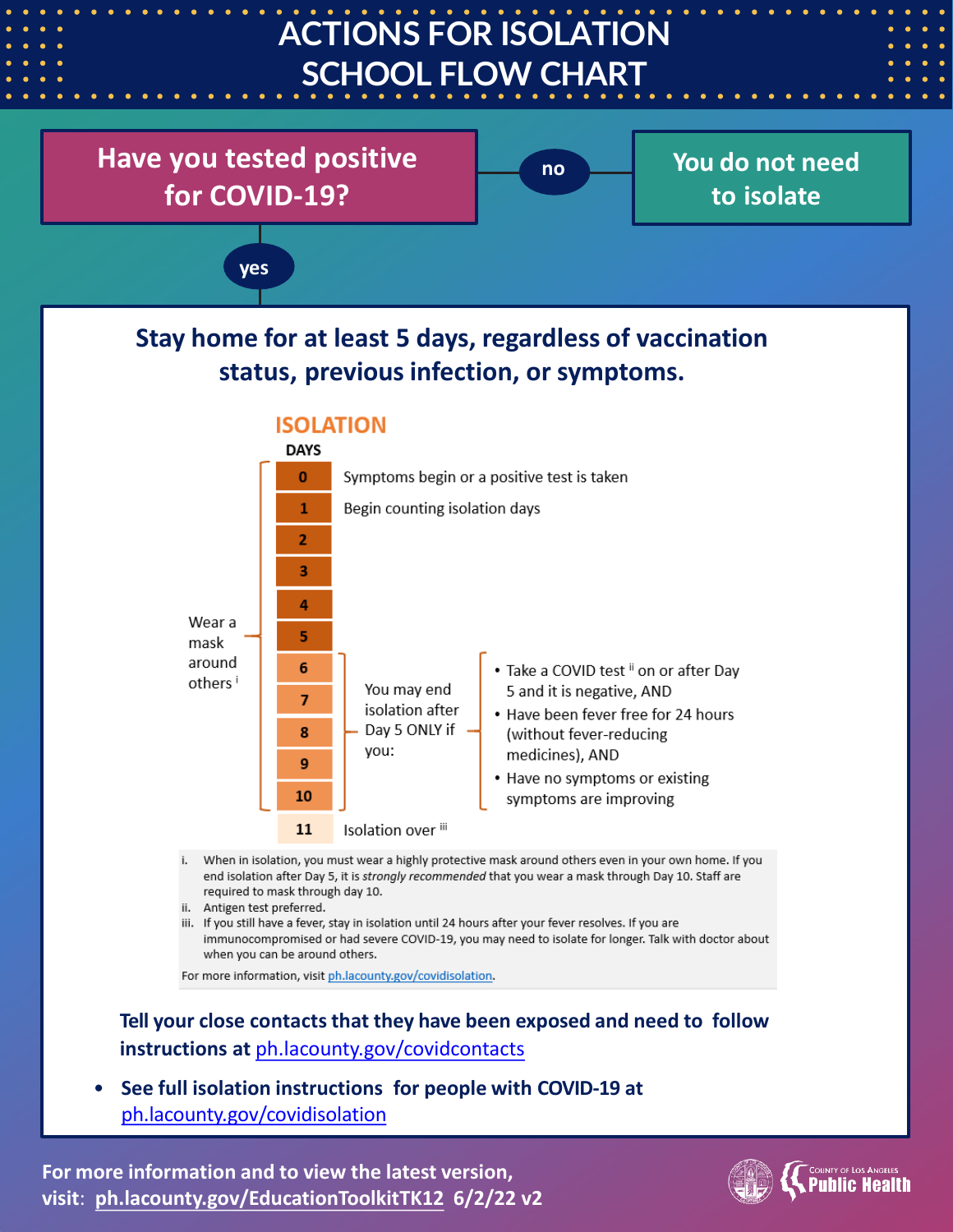

• **See full isolation instructions for people with COVID-19 at**  [ph.lacounty.gov/covidisolation](http://publichealth.lacounty.gov/acd/ncorona2019/covidisolation/)

**For more information and to view the latest version, visit**: **[ph.lacounty.gov/EducationToolkitTK12](http://ph.lacounty.gov/acd/ncorona2019/EducationToolkit/tk12/) 6/2/22 v2**